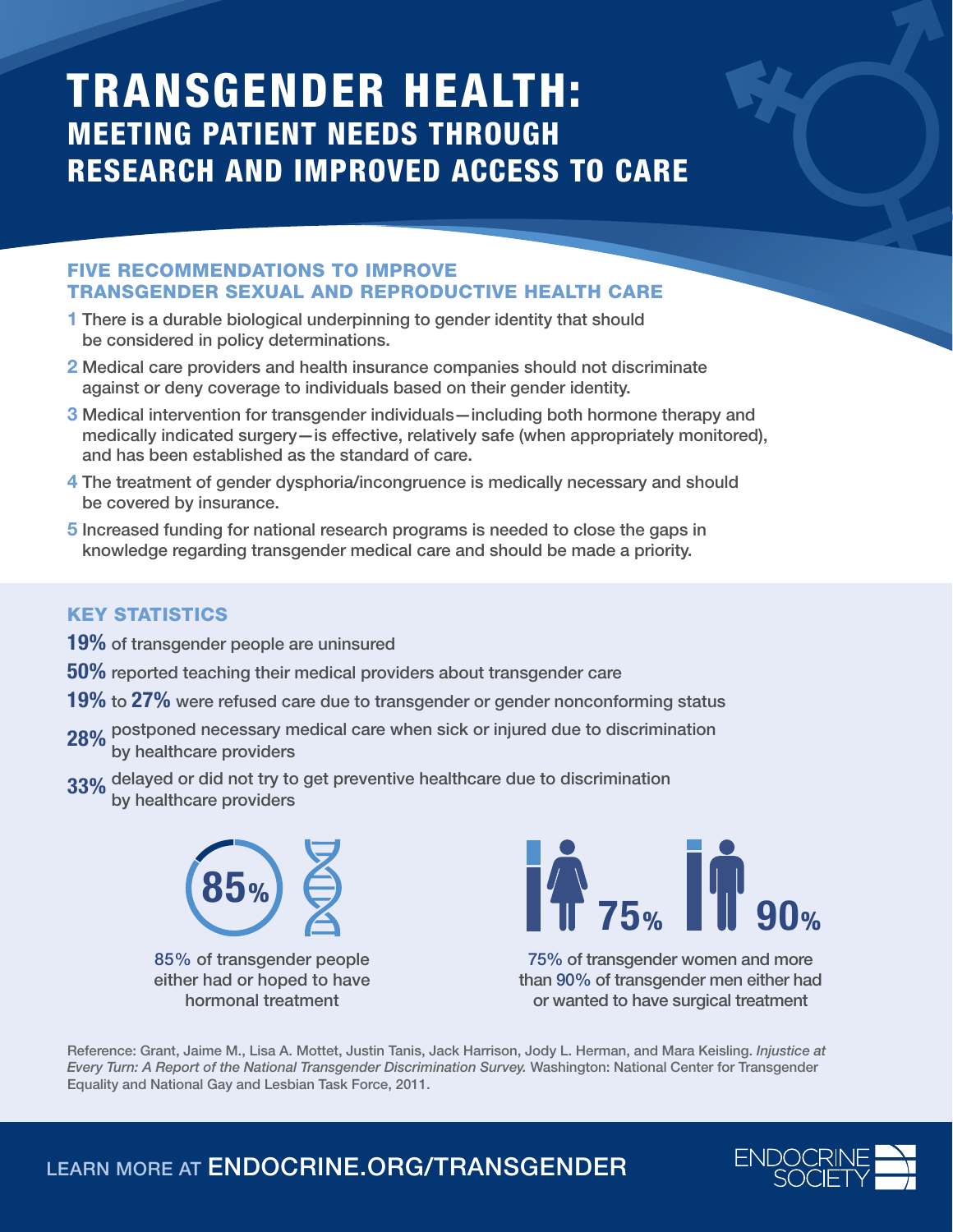## TRANSGENDER HEALTH: MEETING PATIENT NEEDS THROUGH RESEARCH AND IMPROVED ACCESS TO CARE

## FIVE RECOMMENDATIONS TO IMPROVE TRANSGENDER SEXUAL AND REPRODUCTIVE HEALTH CARE

- 1 There is a durable biological underpinning to gender identity that should be considered in policy determinations.
- 2 Medical care providers and health insurance companies should not discriminate against or deny coverage to individuals based on their gender identity.
- 3 Medical intervention for transgender individuals—including both hormone therapy and medically indicated surgery—is effective, relatively safe (when appropriately monitored), and has been established as the standard of care.
- 4 The treatment of gender dysphoria/incongruence is medically necessary and should be covered by insurance.
- 5 Increased funding for national research programs is needed to close the gaps in knowledge regarding transgender medical care and should be made a priority.

## KEY STATISTICS

- 19% of transgender people are uninsured
- 50% reported teaching their medical providers about transgender care
- 19% to 27% were refused care due to transgender or gender nonconforming status
- 28% postponed necessary medical care when sick or injured due to discrimination<br>by healthcare providers
- 33% delayed or did not try to get preventive healthcare due to discrimination by healthcare providers



85% of transgender people either had or hoped to have hormonal treatment



75% of transgender women and more than 90% of transgender men either had or wanted to have surgical treatment

Reference: Grant, Jaime M., Lisa A. Mottet, Justin Tanis, Jack Harrison, Jody L. Herman, and Mara Keisling. *Injustice at Every Turn: A Report of the National Transgender Discrimination Survey.* Washington: National Center for Transgender Equality and National Gay and Lesbian Task Force, 2011.

LEARN MORE AT ENDOCRINE.ORG/TRANSGENDER